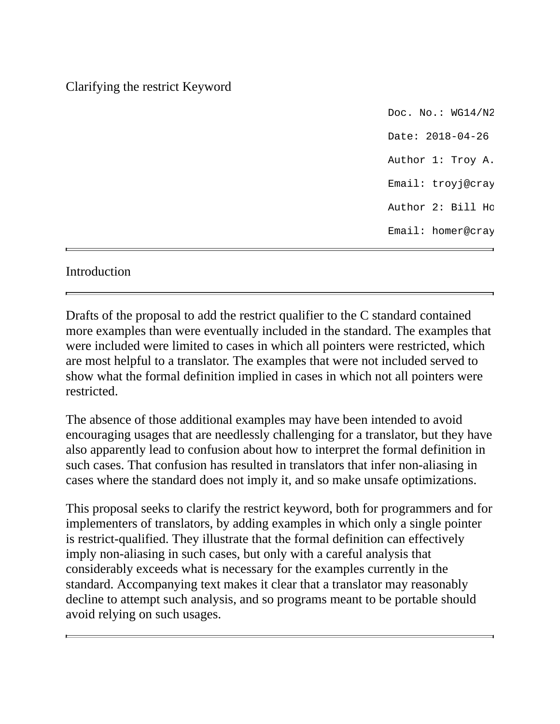## Clarifying the restrict Keyword

Doc. No.:  $WGM/2$ Date: 2018-04-26 Author 1: Troy A. Email: troyj@cray Author 2: Bill Ho Email: homer@cray

## Introduction

Drafts of the proposal to add the restrict qualifier to the C standard contained more examples than were eventually included in the standard. The examples that were included were limited to cases in which all pointers were restricted, which are most helpful to a translator. The examples that were not included served to show what the formal definition implied in cases in which not all pointers were restricted.

The absence of those additional examples may have been intended to avoid encouraging usages that are needlessly challenging for a translator, but they have also apparently lead to confusion about how to interpret the formal definition in such cases. That confusion has resulted in translators that infer non-aliasing in cases where the standard does not imply it, and so make unsafe optimizations.

This proposal seeks to clarify the restrict keyword, both for programmers and for implementers of translators, by adding examples in which only a single pointer is restrict-qualified. They illustrate that the formal definition can effectively imply non-aliasing in such cases, but only with a careful analysis that considerably exceeds what is necessary for the examples currently in the standard. Accompanying text makes it clear that a translator may reasonably decline to attempt such analysis, and so programs meant to be portable should avoid relying on such usages.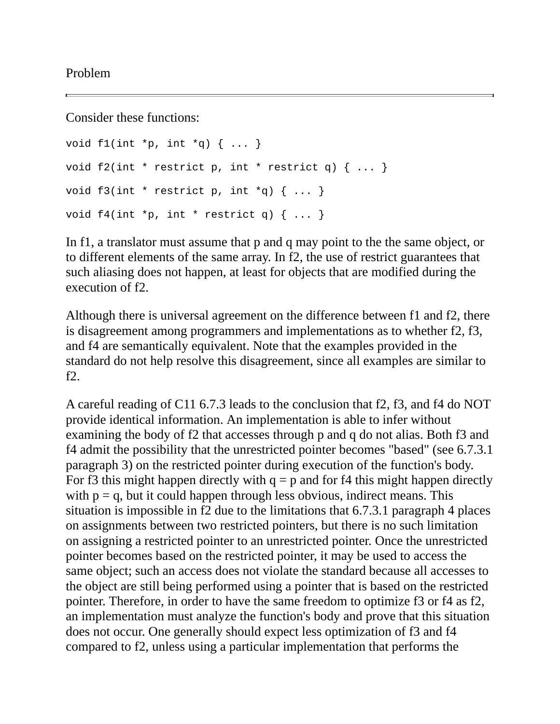Problem

Consider these functions:

```
void f1(int *p, int *q) { ... }void f2(int * restrict p, int * restrict q) { ... }void f3(int * restrict p, int *q) { ... }void f4(int *p, int * restrict q) { ... }
```
In f1, a translator must assume that p and q may point to the the same object, or to different elements of the same array. In f2, the use of restrict guarantees that such aliasing does not happen, at least for objects that are modified during the execution of f2.

Although there is universal agreement on the difference between f1 and f2, there is disagreement among programmers and implementations as to whether f2, f3, and f4 are semantically equivalent. Note that the examples provided in the standard do not help resolve this disagreement, since all examples are similar to f2.

A careful reading of C11 6.7.3 leads to the conclusion that f2, f3, and f4 do NOT provide identical information. An implementation is able to infer without examining the body of f2 that accesses through p and q do not alias. Both f3 and f4 admit the possibility that the unrestricted pointer becomes "based" (see 6.7.3.1 paragraph 3) on the restricted pointer during execution of the function's body. For f3 this might happen directly with  $q = p$  and for f4 this might happen directly with  $p = q$ , but it could happen through less obvious, indirect means. This situation is impossible in f2 due to the limitations that 6.7.3.1 paragraph 4 places on assignments between two restricted pointers, but there is no such limitation on assigning a restricted pointer to an unrestricted pointer. Once the unrestricted pointer becomes based on the restricted pointer, it may be used to access the same object; such an access does not violate the standard because all accesses to the object are still being performed using a pointer that is based on the restricted pointer. Therefore, in order to have the same freedom to optimize f3 or f4 as f2, an implementation must analyze the function's body and prove that this situation does not occur. One generally should expect less optimization of f3 and f4 compared to f2, unless using a particular implementation that performs the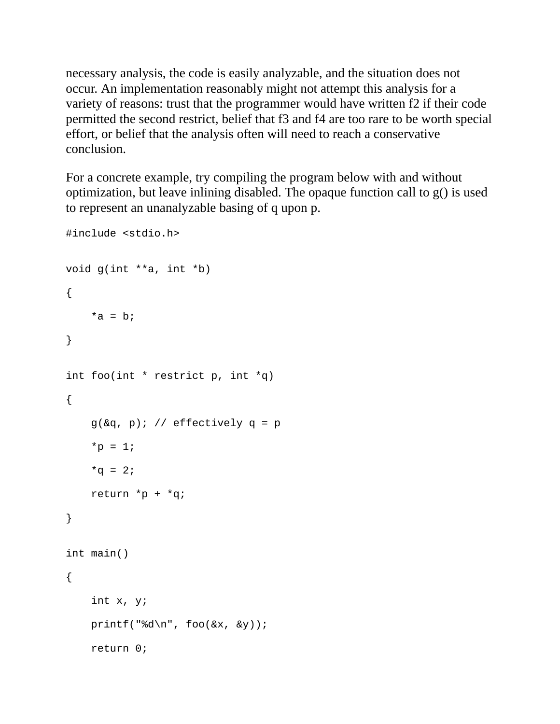necessary analysis, the code is easily analyzable, and the situation does not occur. An implementation reasonably might not attempt this analysis for a variety of reasons: trust that the programmer would have written f2 if their code permitted the second restrict, belief that f3 and f4 are too rare to be worth special effort, or belief that the analysis often will need to reach a conservative conclusion.

For a concrete example, try compiling the program below with and without optimization, but leave inlining disabled. The opaque function call to g() is used to represent an unanalyzable basing of q upon p.

```
#include <stdio.h>
void g(int **a, int *b)
{
    *a = b;}
int foo(int * restrict p, int *q)
{
    g(\&q, p); // effectively q = p*p = 1;*q = 2;return *p + *q;}
int main()
{
    int x, y;
    printf("%d\n", foo(&x, &y));
    return 0;
```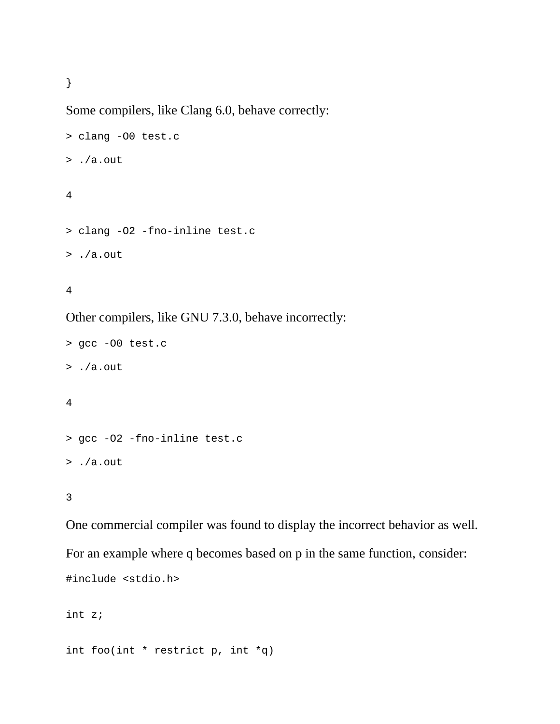}

Some compilers, like Clang 6.0, behave correctly:

```
> clang -O0 test.c
> ./a.out
```
## 4

```
> clang -O2 -fno-inline test.c
```

```
> ./a.out
```
## 4

Other compilers, like GNU 7.3.0, behave incorrectly:

```
> gcc -O0 test.c
> ./a.out
4
```

```
> gcc -O2 -fno-inline test.c
> ./a.out
```
3

One commercial compiler was found to display the incorrect behavior as well. For an example where q becomes based on p in the same function, consider: #include <stdio.h>

int z;

int foo(int  $*$  restrict p, int  $*q$ )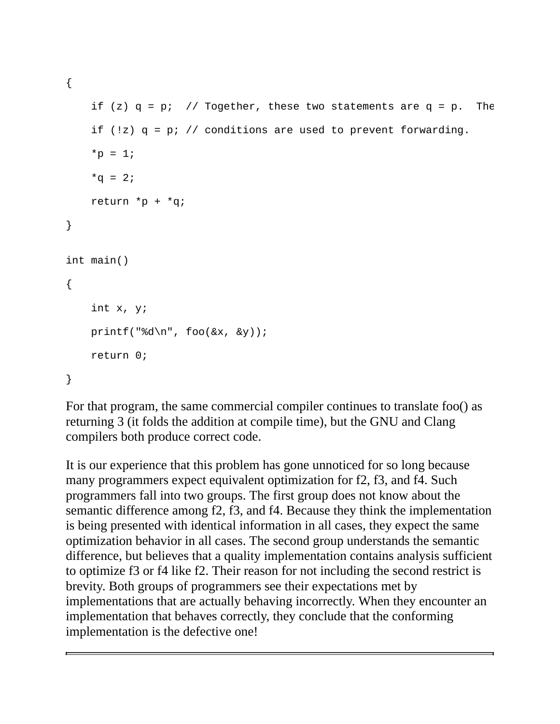{

```
if (z) q = p; // Together, these two statements are q = p. The
    if (|z\rangle q = p; // conditions are used to prevent forwarding.
    *_{p} = 1;*q = 2;return *p + *q;}
int main()
{
    int x, y;
    printf("%d\n", foo(&x, &y));
    return 0;
}
```
For that program, the same commercial compiler continues to translate foo() as returning 3 (it folds the addition at compile time), but the GNU and Clang compilers both produce correct code.

It is our experience that this problem has gone unnoticed for so long because many programmers expect equivalent optimization for f2, f3, and f4. Such programmers fall into two groups. The first group does not know about the semantic difference among f2, f3, and f4. Because they think the implementation is being presented with identical information in all cases, they expect the same optimization behavior in all cases. The second group understands the semantic difference, but believes that a quality implementation contains analysis sufficient to optimize f3 or f4 like f2. Their reason for not including the second restrict is brevity. Both groups of programmers see their expectations met by implementations that are actually behaving incorrectly. When they encounter an implementation that behaves correctly, they conclude that the conforming implementation is the defective one!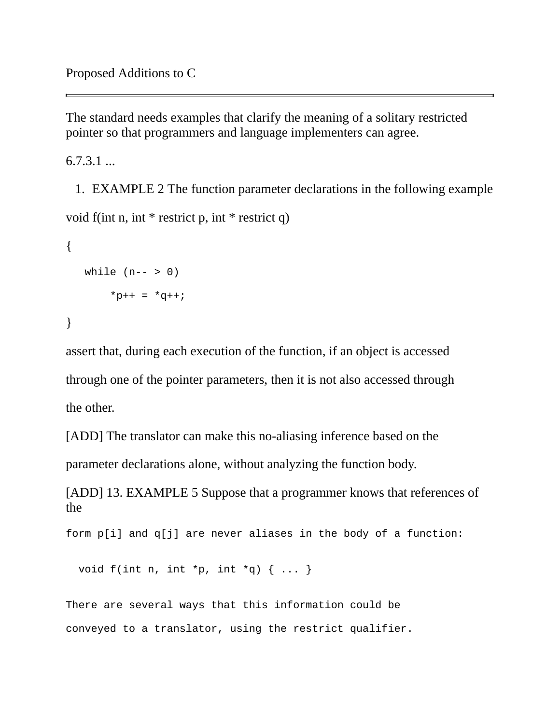The standard needs examples that clarify the meaning of a solitary restricted pointer so that programmers and language implementers can agree.

6.7.3.1 ...

1. EXAMPLE 2 The function parameter declarations in the following example

```
void f(int n, int * restrict p, int * restrict q)
```

```
{
  while (n-- 9)*p++ = *q++;}
```
assert that, during each execution of the function, if an object is accessed through one of the pointer parameters, then it is not also accessed through the other.

[ADD] The translator can make this no-aliasing inference based on the parameter declarations alone, without analyzing the function body.

[ADD] 13. EXAMPLE 5 Suppose that a programmer knows that references of the

form p[i] and q[j] are never aliases in the body of a function:

void  $f(int n, int *p, int *q) { ... }$ 

There are several ways that this information could be conveyed to a translator, using the restrict qualifier.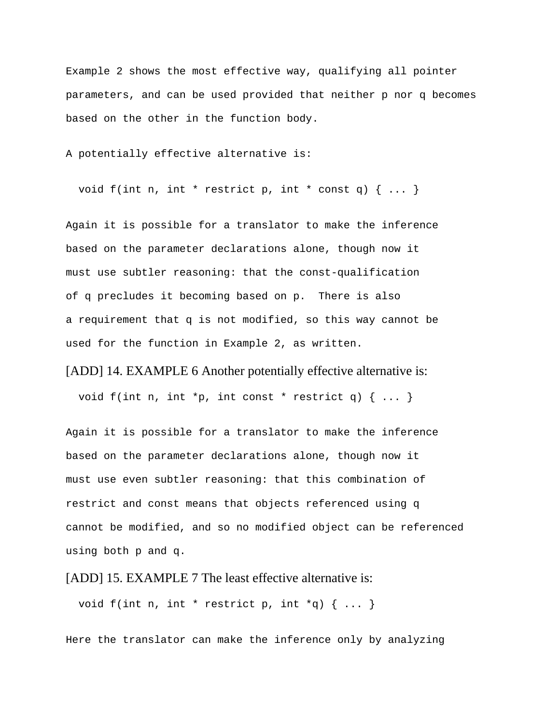Example 2 shows the most effective way, qualifying all pointer parameters, and can be used provided that neither p nor q becomes based on the other in the function body.

A potentially effective alternative is:

void  $f(int n, int * restrict p, int * const q)$   $\{... \}$ 

Again it is possible for a translator to make the inference based on the parameter declarations alone, though now it must use subtler reasoning: that the const-qualification of q precludes it becoming based on p. There is also a requirement that q is not modified, so this way cannot be used for the function in Example 2, as written.

[ADD] 14. EXAMPLE 6 Another potentially effective alternative is:

void f(int n, int \*p, int const \* restrict q)  $\{ \ldots \}$ 

Again it is possible for a translator to make the inference based on the parameter declarations alone, though now it must use even subtler reasoning: that this combination of restrict and const means that objects referenced using q cannot be modified, and so no modified object can be referenced using both p and q.

[ADD] 15. EXAMPLE 7 The least effective alternative is:

void f(int n, int  $*$  restrict p, int  $*q$ ) { ... }

Here the translator can make the inference only by analyzing